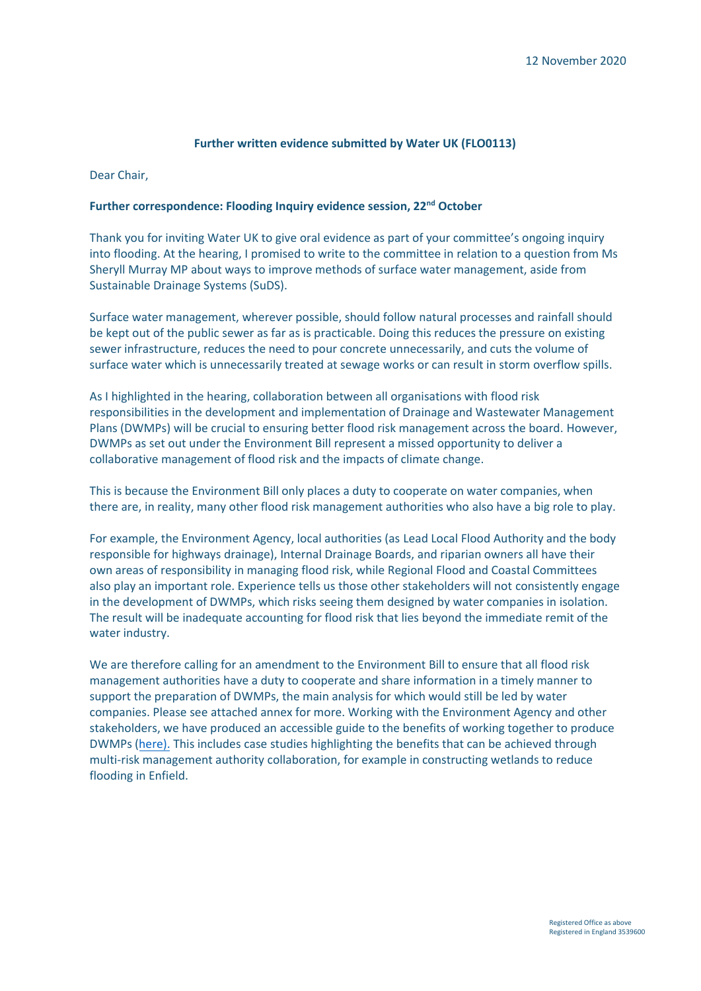#### **Further written evidence submitted by Water UK (FLO0113)**

Dear Chair,

#### **Further correspondence: Flooding Inquiry evidence session, 22nd October**

Thank you for inviting Water UK to give oral evidence as part of your committee's ongoing inquiry into flooding. At the hearing, I promised to write to the committee in relation to a question from Ms Sheryll Murray MP about ways to improve methods of surface water management, aside from Sustainable Drainage Systems (SuDS).

Surface water management, wherever possible, should follow natural processes and rainfall should be kept out of the public sewer as far as is practicable. Doing this reduces the pressure on existing sewer infrastructure, reduces the need to pour concrete unnecessarily, and cuts the volume of surface water which is unnecessarily treated at sewage works or can result in storm overflow spills.

As I highlighted in the hearing, collaboration between all organisations with flood risk responsibilities in the development and implementation of Drainage and Wastewater Management Plans (DWMPs) will be crucial to ensuring better flood risk management across the board. However, DWMPs as set out under the Environment Bill represent a missed opportunity to deliver a collaborative management of flood risk and the impacts of climate change.

This is because the Environment Bill only places a duty to cooperate on water companies, when there are, in reality, many other flood risk management authorities who also have a big role to play.

For example, the Environment Agency, local authorities (as Lead Local Flood Authority and the body responsible for highways drainage), Internal Drainage Boards, and riparian owners all have their own areas of responsibility in managing flood risk, while Regional Flood and Coastal Committees also play an important role. Experience tells us those other stakeholders will not consistently engage in the development of DWMPs, which risks seeing them designed by water companies in isolation. The result will be inadequate accounting for flood risk that lies beyond the immediate remit of the water industry.

We are therefore calling for an amendment to the Environment Bill to ensure that all flood risk management authorities have a duty to cooperate and share information in a timely manner to support the preparation of DWMPs, the main analysis for which would still be led by water companies. Please see attached annex for more. Working with the Environment Agency and other stakeholders, we have produced an accessible guide to the benefits of working together to produce DWMPs (here). This includes case studies highlighting the benefits that can be achieved through multi-risk management authority collaboration, for example in constructing wetlands to reduce flooding in Enfield.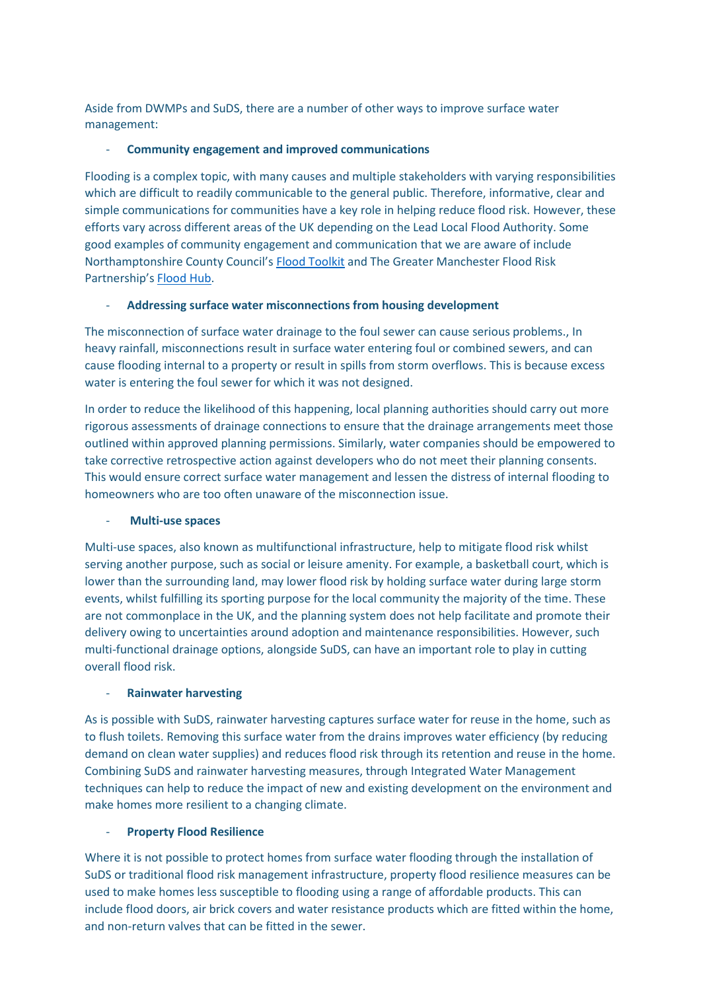Aside from DWMPs and SuDS, there are a number of other ways to improve surface water management:

## - **Community engagement and improved communications**

Flooding is a complex topic, with many causes and multiple stakeholders with varying responsibilities which are difficult to readily communicable to the general public. Therefore, informative, clear and simple communications for communities have a key role in helping reduce flood risk. However, these efforts vary across different areas of the UK depending on the Lead Local Flood Authority. Some good examples of community engagement and communication that we are aware of include Northamptonshire County Council's [Flood Toolkit](https://www.floodtoolkit.com/) and The Greater Manchester Flood Risk Partnership's [Flood Hub.](https://thefloodhub.co.uk/local-area/)

# - **Addressing surface water misconnections from housing development**

The misconnection of surface water drainage to the foul sewer can cause serious problems., In heavy rainfall, misconnections result in surface water entering foul or combined sewers, and can cause flooding internal to a property or result in spills from storm overflows. This is because excess water is entering the foul sewer for which it was not designed.

In order to reduce the likelihood of this happening, local planning authorities should carry out more rigorous assessments of drainage connections to ensure that the drainage arrangements meet those outlined within approved planning permissions. Similarly, water companies should be empowered to take corrective retrospective action against developers who do not meet their planning consents. This would ensure correct surface water management and lessen the distress of internal flooding to homeowners who are too often unaware of the misconnection issue.

## - **Multi-use spaces**

Multi-use spaces, also known as multifunctional infrastructure, help to mitigate flood risk whilst serving another purpose, such as social or leisure amenity. For example, a basketball court, which is lower than the surrounding land, may lower flood risk by holding surface water during large storm events, whilst fulfilling its sporting purpose for the local community the majority of the time. These are not commonplace in the UK, and the planning system does not help facilitate and promote their delivery owing to uncertainties around adoption and maintenance responsibilities. However, such multi-functional drainage options, alongside SuDS, can have an important role to play in cutting overall flood risk.

## - **Rainwater harvesting**

As is possible with SuDS, rainwater harvesting captures surface water for reuse in the home, such as to flush toilets. Removing this surface water from the drains improves water efficiency (by reducing demand on clean water supplies) and reduces flood risk through its retention and reuse in the home. Combining SuDS and rainwater harvesting measures, through Integrated Water Management techniques can help to reduce the impact of new and existing development on the environment and make homes more resilient to a changing climate.

# **Property Flood Resilience**

Where it is not possible to protect homes from surface water flooding through the installation of SuDS or traditional flood risk management infrastructure, property flood resilience measures can be used to make homes less susceptible to flooding using a range of affordable products. This can include flood doors, air brick covers and water resistance products which are fitted within the home, and non-return valves that can be fitted in the sewer.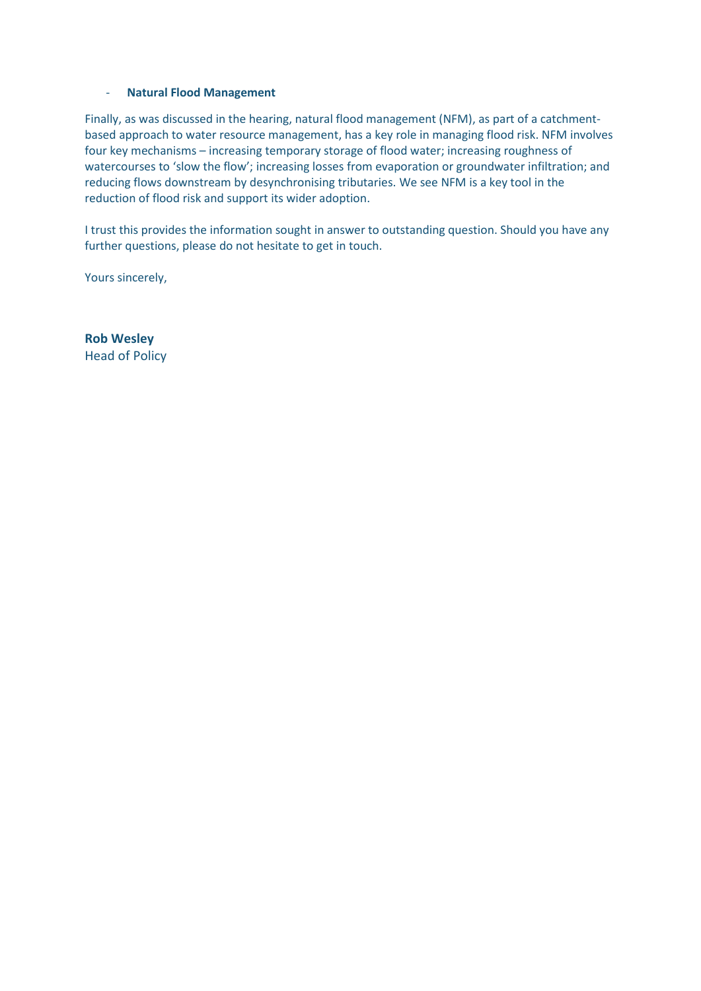#### - **Natural Flood Management**

Finally, as was discussed in the hearing, natural flood management (NFM), as part of a catchmentbased approach to water resource management, has a key role in managing flood risk. NFM involves four key mechanisms – increasing temporary storage of flood water; increasing roughness of watercourses to 'slow the flow'; increasing losses from evaporation or groundwater infiltration; and reducing flows downstream by desynchronising tributaries. We see NFM is a key tool in the reduction of flood risk and support its wider adoption.

I trust this provides the information sought in answer to outstanding question. Should you have any further questions, please do not hesitate to get in touch.

Yours sincerely,

**Rob Wesley** Head of Policy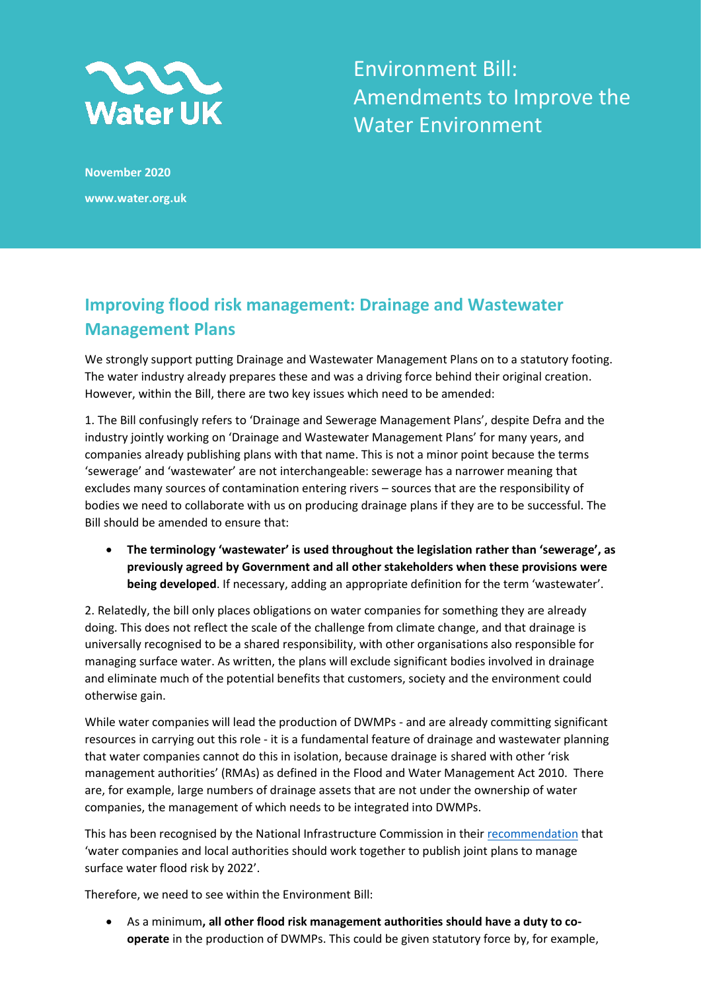

Environment Bill: Amendments to Improve the Water Environment

**November 2020 www.water.org.uk**

# **Improving flood risk management: Drainage and Wastewater Management Plans**

We strongly support putting Drainage and Wastewater Management Plans on to a statutory footing. The water industry already prepares these and was a driving force behind their original creation. However, within the Bill, there are two key issues which need to be amended:

1. The Bill confusingly refers to 'Drainage and Sewerage Management Plans', despite Defra and the industry jointly working on 'Drainage and Wastewater Management Plans' for many years, and companies already publishing plans with that name. This is not a minor point because the terms 'sewerage' and 'wastewater' are not interchangeable: sewerage has a narrower meaning that excludes many sources of contamination entering rivers – sources that are the responsibility of bodies we need to collaborate with us on producing drainage plans if they are to be successful. The Bill should be amended to ensure that:

• **The terminology 'wastewater' is used throughout the legislation rather than 'sewerage', as previously agreed by Government and all other stakeholders when these provisions were being developed**. If necessary, adding an appropriate definition for the term 'wastewater'.

2. Relatedly, the bill only places obligations on water companies for something they are already doing. This does not reflect the scale of the challenge from climate change, and that drainage is universally recognised to be a shared responsibility, with other organisations also responsible for managing surface water. As written, the plans will exclude significant bodies involved in drainage and eliminate much of the potential benefits that customers, society and the environment could otherwise gain.

While water companies will lead the production of DWMPs - and are already committing significant resources in carrying out this role - it is a fundamental feature of drainage and wastewater planning that water companies cannot do this in isolation, because drainage is shared with other 'risk management authorities' (RMAs) as defined in the Flood and Water Management Act 2010. There are, for example, large numbers of drainage assets that are not under the ownership of water companies, the management of which needs to be integrated into DWMPs.

This has been recognised by the National Infrastructure Commission in thei[r recommendation](https://nic.org.uk/studies-reports/recommendations/a-strategy-to-deliver-a-nationwide-standard-of-resilience-to-flooding/) that 'water companies and local authorities should work together to publish joint plans to manage surface water flood risk by 2022'.

Therefore, we need to see within the Environment Bill:

• As a minimum**, all other flood risk management authorities should have a duty to cooperate** in the production of DWMPs. This could be given statutory force by, for example,